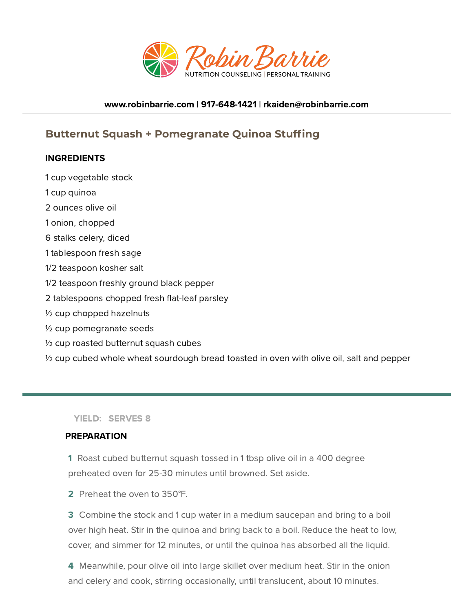

### [www.robinbarrie.com](https://www.robinbarrie.com/) | [917-648-1421](tel:9176481421) | [rkaiden@robinbarrie.com](mail:rkaiden@robinbarrie.coms)

# **Butternut Squash + Pomegranate Quinoa Stuffing**

### **INGREDIENTS**

- 1 cup vegetable stock
- 1 cup quinoa
- 2 ounces olive oil
- 1 onion, chopped
- 6 stalks celery, diced
- 1 tablespoon fresh sage
- 1/2 teaspoon kosher salt
- 1/2 teaspoon freshly ground black pepper
- 2 tablespoons chopped fresh flat-leaf parsley
- ½ cup chopped hazelnuts
- ½ cup pomegranate seeds
- ½ cup roasted butternut squash cubes

 $\frac{1}{2}$  cup cubed whole wheat sourdough bread toasted in oven with olive oil, salt and pepper

YIELD: SERVES 8

#### PREPARATION

- 1 Roast cubed butternut squash tossed in 1 tbsp olive oil in a 400 degree preheated oven for 25-30 minutes until browned. Set aside.
- 2 Preheat the oven to 350°F.

3 Combine the stock and 1 cup water in a medium saucepan and bring to a boil over high heat. Stir in the quinoa and bring back to a boil. Reduce the heat to low, cover, and simmer for 12 minutes, or until the quinoa has absorbed all the liquid.

4 Meanwhile, pour olive oil into large skillet over medium heat. Stir in the onion and celery and cook, stirring occasionally, until translucent, about 10 minutes.